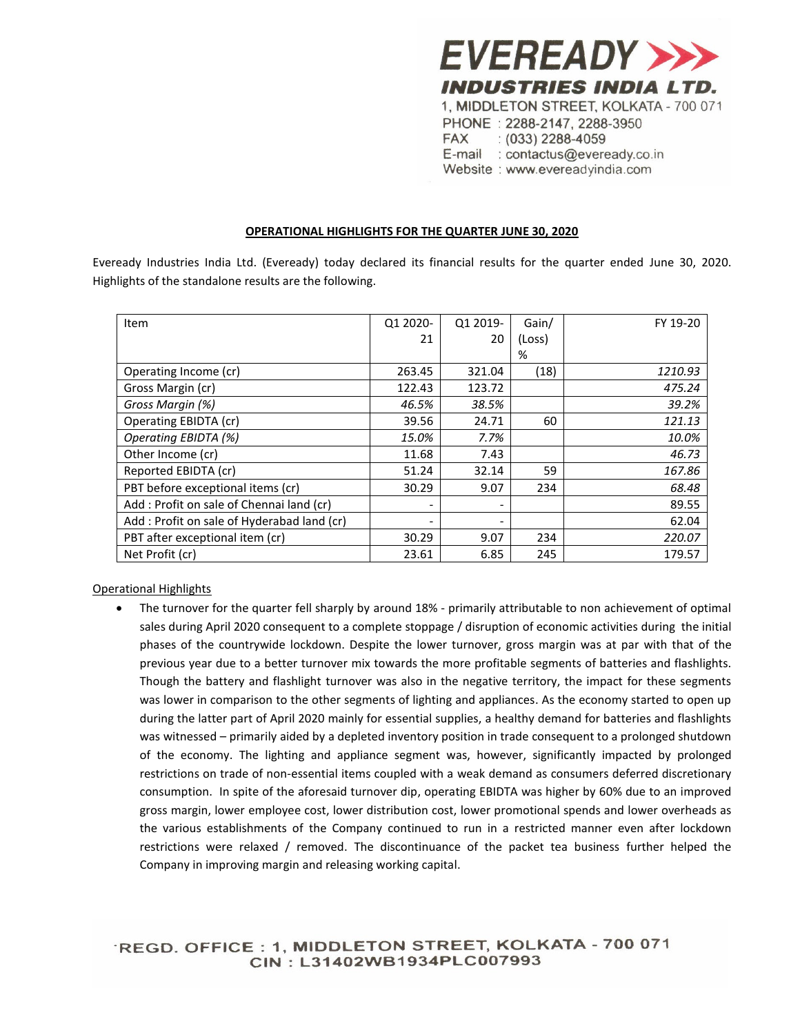

Website: www.evereadyindia.com

## **OPERATIONAL HIGHLIGHTS FOR THE QUARTER JUNE 30, 2020**

Eveready Industries India Ltd. (Eveready) today declared its financial results for the quarter ended June 30, 2020. Highlights of the standalone results are the following.

| Item                                       | Q1 2020- | Q1 2019- | Gain/  | FY 19-20 |
|--------------------------------------------|----------|----------|--------|----------|
|                                            | 21       | 20       | (Loss) |          |
|                                            |          |          | %      |          |
| Operating Income (cr)                      | 263.45   | 321.04   | (18)   | 1210.93  |
| Gross Margin (cr)                          | 122.43   | 123.72   |        | 475.24   |
| Gross Margin (%)                           | 46.5%    | 38.5%    |        | 39.2%    |
| Operating EBIDTA (cr)                      | 39.56    | 24.71    | 60     | 121.13   |
| Operating EBIDTA (%)                       | 15.0%    | 7.7%     |        | 10.0%    |
| Other Income (cr)                          | 11.68    | 7.43     |        | 46.73    |
| Reported EBIDTA (cr)                       | 51.24    | 32.14    | 59     | 167.86   |
| PBT before exceptional items (cr)          | 30.29    | 9.07     | 234    | 68.48    |
| Add: Profit on sale of Chennai land (cr)   |          |          |        | 89.55    |
| Add: Profit on sale of Hyderabad land (cr) |          |          |        | 62.04    |
| PBT after exceptional item (cr)            | 30.29    | 9.07     | 234    | 220.07   |
| Net Profit (cr)                            | 23.61    | 6.85     | 245    | 179.57   |

## Operational Highlights

 The turnover for the quarter fell sharply by around 18% - primarily attributable to non achievement of optimal sales during April 2020 consequent to a complete stoppage / disruption of economic activities during the initial phases of the countrywide lockdown. Despite the lower turnover, gross margin was at par with that of the previous year due to a better turnover mix towards the more profitable segments of batteries and flashlights. Though the battery and flashlight turnover was also in the negative territory, the impact for these segments was lower in comparison to the other segments of lighting and appliances. As the economy started to open up during the latter part of April 2020 mainly for essential supplies, a healthy demand for batteries and flashlights was witnessed – primarily aided by a depleted inventory position in trade consequent to a prolonged shutdown of the economy. The lighting and appliance segment was, however, significantly impacted by prolonged restrictions on trade of non-essential items coupled with a weak demand as consumers deferred discretionary consumption. In spite of the aforesaid turnover dip, operating EBIDTA was higher by 60% due to an improved gross margin, lower employee cost, lower distribution cost, lower promotional spends and lower overheads as the various establishments of the Company continued to run in a restricted manner even after lockdown restrictions were relaxed / removed. The discontinuance of the packet tea business further helped the Company in improving margin and releasing working capital.

'REGD. OFFICE: 1, MIDDLETON STREET, KOLKATA - 700 071 CIN: L31402WB1934PLC007993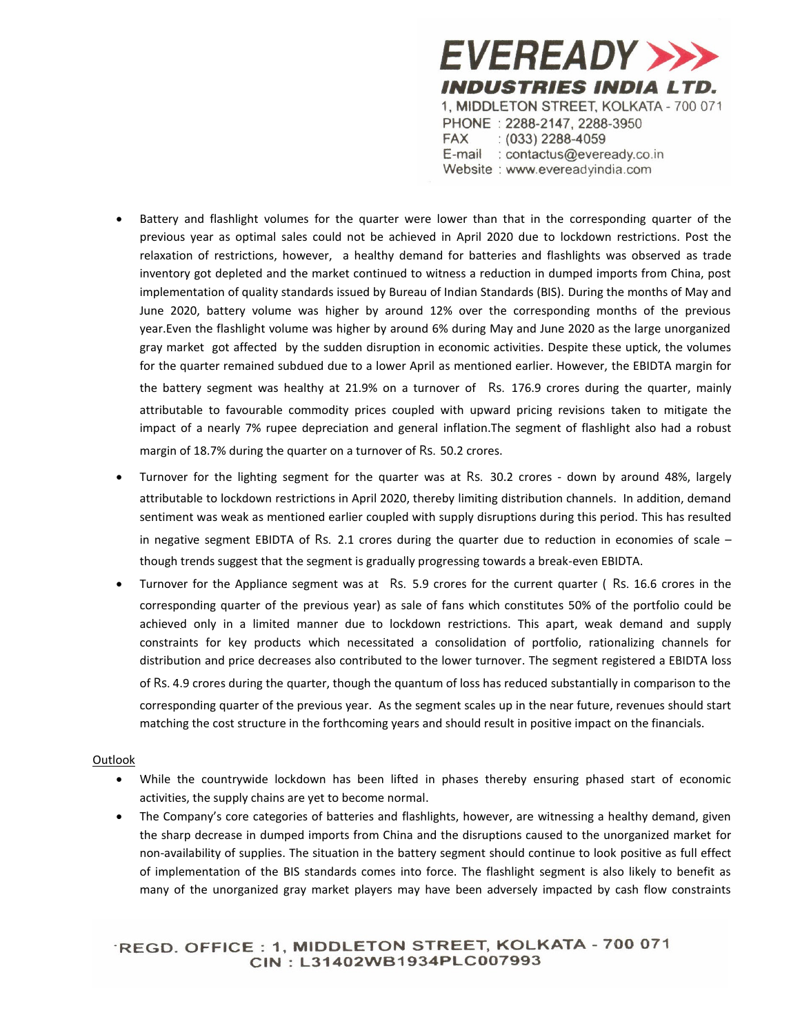

- Battery and flashlight volumes for the quarter were lower than that in the corresponding quarter of the previous year as optimal sales could not be achieved in April 2020 due to lockdown restrictions. Post the relaxation of restrictions, however, a healthy demand for batteries and flashlights was observed as trade inventory got depleted and the market continued to witness a reduction in dumped imports from China, post implementation of quality standards issued by Bureau of Indian Standards (BIS). During the months of May and June 2020, battery volume was higher by around 12% over the corresponding months of the previous year.Even the flashlight volume was higher by around 6% during May and June 2020 as the large unorganized gray market got affected by the sudden disruption in economic activities. Despite these uptick, the volumes for the quarter remained subdued due to a lower April as mentioned earlier. However, the EBIDTA margin for the battery segment was healthy at 21.9% on a turnover of Rs. 176.9 crores during the quarter, mainly attributable to favourable commodity prices coupled with upward pricing revisions taken to mitigate the impact of a nearly 7% rupee depreciation and general inflation.The segment of flashlight also had a robust margin of 18.7% during the quarter on a turnover of Rs. 50.2 crores.
- Turnover for the lighting segment for the quarter was at Rs. 30.2 crores down by around 48%, largely attributable to lockdown restrictions in April 2020, thereby limiting distribution channels. In addition, demand sentiment was weak as mentioned earlier coupled with supply disruptions during this period. This has resulted in negative segment EBIDTA of Rs. 2.1 crores during the quarter due to reduction in economies of scale – though trends suggest that the segment is gradually progressing towards a break-even EBIDTA.
- Turnover for the Appliance segment was at Rs. 5.9 crores for the current quarter ( Rs. 16.6 crores in the corresponding quarter of the previous year) as sale of fans which constitutes 50% of the portfolio could be achieved only in a limited manner due to lockdown restrictions. This apart, weak demand and supply constraints for key products which necessitated a consolidation of portfolio, rationalizing channels for distribution and price decreases also contributed to the lower turnover. The segment registered a EBIDTA loss of Rs. 4.9 crores during the quarter, though the quantum of loss has reduced substantially in comparison to the corresponding quarter of the previous year. As the segment scales up in the near future, revenues should start matching the cost structure in the forthcoming years and should result in positive impact on the financials.

## **Outlook**

- While the countrywide lockdown has been lifted in phases thereby ensuring phased start of economic activities, the supply chains are yet to become normal.
- The Company's core categories of batteries and flashlights, however, are witnessing a healthy demand, given the sharp decrease in dumped imports from China and the disruptions caused to the unorganized market for non-availability of supplies. The situation in the battery segment should continue to look positive as full effect of implementation of the BIS standards comes into force. The flashlight segment is also likely to benefit as many of the unorganized gray market players may have been adversely impacted by cash flow constraints

'REGD. OFFICE : 1, MIDDLETON STREET, KOLKATA - 700 071 CIN: L31402WB1934PLC007993